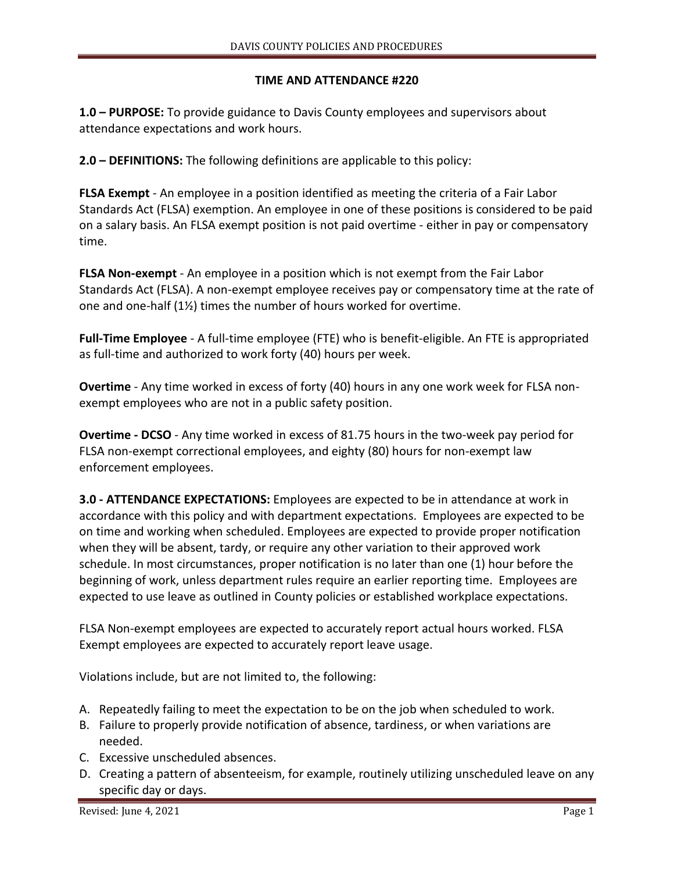## **TIME AND ATTENDANCE #220**

**1.0 – PURPOSE:** To provide guidance to Davis County employees and supervisors about attendance expectations and work hours.

**2.0 – DEFINITIONS:** The following definitions are applicable to this policy:

**FLSA Exempt** - An employee in a position identified as meeting the criteria of a Fair Labor Standards Act (FLSA) exemption. An employee in one of these positions is considered to be paid on a salary basis. An FLSA exempt position is not paid overtime - either in pay or compensatory time.

**FLSA Non-exempt** - An employee in a position which is not exempt from the Fair Labor Standards Act (FLSA). A non-exempt employee receives pay or compensatory time at the rate of one and one-half (1½) times the number of hours worked for overtime.

**Full-Time Employee** - A full-time employee (FTE) who is benefit-eligible. An FTE is appropriated as full-time and authorized to work forty (40) hours per week.

**Overtime** - Any time worked in excess of forty (40) hours in any one work week for FLSA nonexempt employees who are not in a public safety position.

**Overtime - DCSO** - Any time worked in excess of 81.75 hours in the two-week pay period for FLSA non-exempt correctional employees, and eighty (80) hours for non-exempt law enforcement employees.

**3.0 - ATTENDANCE EXPECTATIONS:** Employees are expected to be in attendance at work in accordance with this policy and with department expectations. Employees are expected to be on time and working when scheduled. Employees are expected to provide proper notification when they will be absent, tardy, or require any other variation to their approved work schedule. In most circumstances, proper notification is no later than one (1) hour before the beginning of work, unless department rules require an earlier reporting time. Employees are expected to use leave as outlined in County policies or established workplace expectations.

FLSA Non-exempt employees are expected to accurately report actual hours worked. FLSA Exempt employees are expected to accurately report leave usage.

Violations include, but are not limited to, the following:

- A. Repeatedly failing to meet the expectation to be on the job when scheduled to work.
- B. Failure to properly provide notification of absence, tardiness, or when variations are needed.
- C. Excessive unscheduled absences.
- D. Creating a pattern of absenteeism, for example, routinely utilizing unscheduled leave on any specific day or days.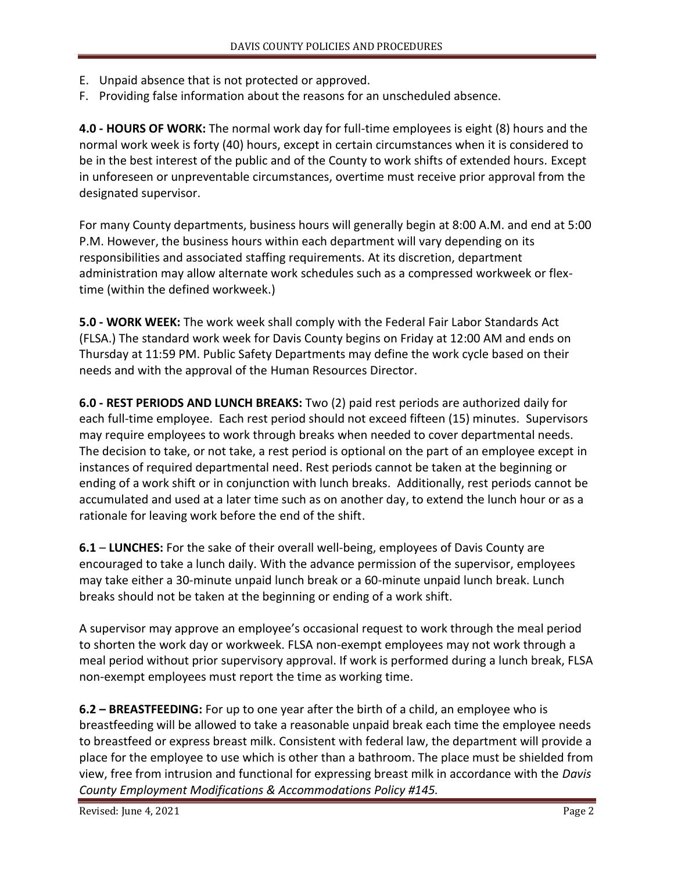- E. Unpaid absence that is not protected or approved.
- F. Providing false information about the reasons for an unscheduled absence.

**4.0 - HOURS OF WORK:** The normal work day for full-time employees is eight (8) hours and the normal work week is forty (40) hours, except in certain circumstances when it is considered to be in the best interest of the public and of the County to work shifts of extended hours. Except in unforeseen or unpreventable circumstances, overtime must receive prior approval from the designated supervisor.

For many County departments, business hours will generally begin at 8:00 A.M. and end at 5:00 P.M. However, the business hours within each department will vary depending on its responsibilities and associated staffing requirements. At its discretion, department administration may allow alternate work schedules such as a compressed workweek or flextime (within the defined workweek.)

**5.0 - WORK WEEK:** The work week shall comply with the Federal Fair Labor Standards Act (FLSA.) The standard work week for Davis County begins on Friday at 12:00 AM and ends on Thursday at 11:59 PM. Public Safety Departments may define the work cycle based on their needs and with the approval of the Human Resources Director.

**6.0 - REST PERIODS AND LUNCH BREAKS:** Two (2) paid rest periods are authorized daily for each full-time employee. Each rest period should not exceed fifteen (15) minutes. Supervisors may require employees to work through breaks when needed to cover departmental needs. The decision to take, or not take, a rest period is optional on the part of an employee except in instances of required departmental need. Rest periods cannot be taken at the beginning or ending of a work shift or in conjunction with lunch breaks. Additionally, rest periods cannot be accumulated and used at a later time such as on another day, to extend the lunch hour or as a rationale for leaving work before the end of the shift.

**6.1** – **LUNCHES:** For the sake of their overall well-being, employees of Davis County are encouraged to take a lunch daily. With the advance permission of the supervisor, employees may take either a 30-minute unpaid lunch break or a 60-minute unpaid lunch break. Lunch breaks should not be taken at the beginning or ending of a work shift.

A supervisor may approve an employee's occasional request to work through the meal period to shorten the work day or workweek. FLSA non-exempt employees may not work through a meal period without prior supervisory approval. If work is performed during a lunch break, FLSA non-exempt employees must report the time as working time.

**6.2 – BREASTFEEDING:** For up to one year after the birth of a child, an employee who is breastfeeding will be allowed to take a reasonable unpaid break each time the employee needs to breastfeed or express breast milk. Consistent with federal law, the department will provide a place for the employee to use which is other than a bathroom. The place must be shielded from view, free from intrusion and functional for expressing breast milk in accordance with the *Davis County Employment Modifications & Accommodations Policy #145.*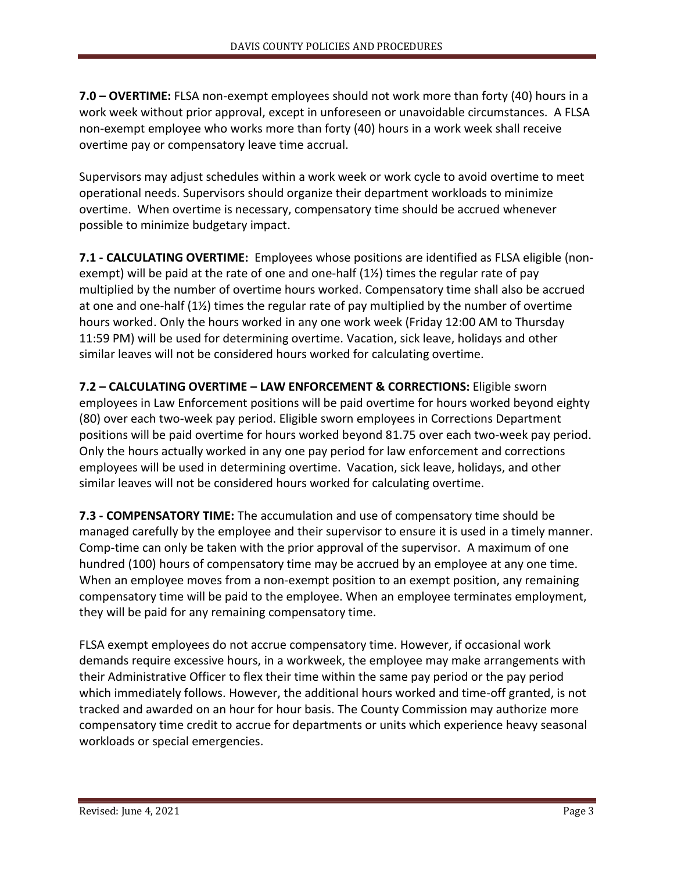**7.0 – OVERTIME:** FLSA non-exempt employees should not work more than forty (40) hours in a work week without prior approval, except in unforeseen or unavoidable circumstances. A FLSA non-exempt employee who works more than forty (40) hours in a work week shall receive overtime pay or compensatory leave time accrual.

Supervisors may adjust schedules within a work week or work cycle to avoid overtime to meet operational needs. Supervisors should organize their department workloads to minimize overtime. When overtime is necessary, compensatory time should be accrued whenever possible to minimize budgetary impact.

**7.1 - CALCULATING OVERTIME:** Employees whose positions are identified as FLSA eligible (nonexempt) will be paid at the rate of one and one-half  $(1\frac{1}{2})$  times the regular rate of pay multiplied by the number of overtime hours worked. Compensatory time shall also be accrued at one and one-half (1½) times the regular rate of pay multiplied by the number of overtime hours worked. Only the hours worked in any one work week (Friday 12:00 AM to Thursday 11:59 PM) will be used for determining overtime. Vacation, sick leave, holidays and other similar leaves will not be considered hours worked for calculating overtime.

**7.2 – CALCULATING OVERTIME – LAW ENFORCEMENT & CORRECTIONS:** Eligible sworn employees in Law Enforcement positions will be paid overtime for hours worked beyond eighty (80) over each two-week pay period. Eligible sworn employees in Corrections Department positions will be paid overtime for hours worked beyond 81.75 over each two-week pay period. Only the hours actually worked in any one pay period for law enforcement and corrections employees will be used in determining overtime. Vacation, sick leave, holidays, and other similar leaves will not be considered hours worked for calculating overtime.

**7.3 - COMPENSATORY TIME:** The accumulation and use of compensatory time should be managed carefully by the employee and their supervisor to ensure it is used in a timely manner. Comp-time can only be taken with the prior approval of the supervisor. A maximum of one hundred (100) hours of compensatory time may be accrued by an employee at any one time. When an employee moves from a non-exempt position to an exempt position, any remaining compensatory time will be paid to the employee. When an employee terminates employment, they will be paid for any remaining compensatory time.

FLSA exempt employees do not accrue compensatory time. However, if occasional work demands require excessive hours, in a workweek, the employee may make arrangements with their Administrative Officer to flex their time within the same pay period or the pay period which immediately follows. However, the additional hours worked and time-off granted, is not tracked and awarded on an hour for hour basis. The County Commission may authorize more compensatory time credit to accrue for departments or units which experience heavy seasonal workloads or special emergencies.